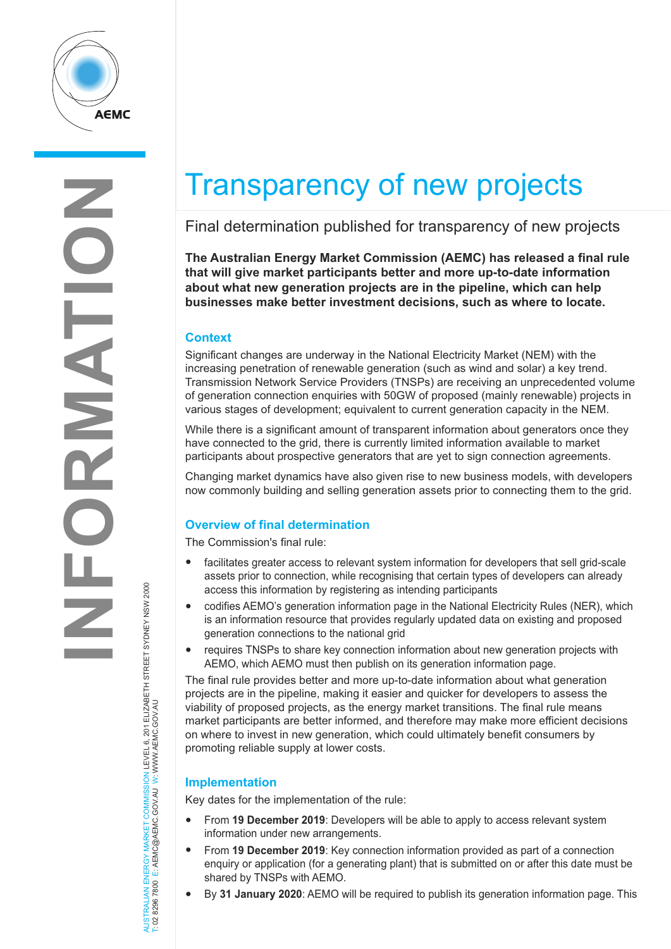

# Transparency of new projects

# Final determination published for transparency of new projects

**The Australian Energy Market Commission (AEMC) has released a final rule that will give market participants better and more up-to-date information about what new generation projects are in the pipeline, which can help businesses make better investment decisions, such as where to locate.**

## **Context**

Significant changes are underway in the National Electricity Market (NEM) with the increasing penetration of renewable generation (such as wind and solar) a key trend. Transmission Network Service Providers (TNSPs) are receiving an unprecedented volume of generation connection enquiries with 50GW of proposed (mainly renewable) projects in various stages of development; equivalent to current generation capacity in the NEM.

While there is a significant amount of transparent information about generators once they have connected to the grid, there is currently limited information available to market participants about prospective generators that are yet to sign connection agreements.

Changing market dynamics have also given rise to new business models, with developers now commonly building and selling generation assets prior to connecting them to the grid.

# **Overview of final determination**

The Commission's final rule:

- facilitates greater access to relevant system information for developers that sell grid-scale assets prior to connection, while recognising that certain types of developers can already access this information by registering as intending participants
- codifies AEMO's generation information page in the National Electricity Rules (NER), which is an information resource that provides regularly updated data on existing and proposed generation connections to the national grid
- requires TNSPs to share key connection information about new generation projects with AEMO, which AEMO must then publish on its generation information page.

The final rule provides better and more up-to-date information about what generation projects are in the pipeline, making it easier and quicker for developers to assess the viability of proposed projects, as the energy market transitions. The final rule means market participants are better informed, and therefore may make more efficient decisions on where to invest in new generation, which could ultimately benefit consumers by promoting reliable supply at lower costs.

### **Implementation**

Key dates for the implementation of the rule:

- From **19 December 2019**: Developers will be able to apply to access relevant system information under new arrangements.
- From **19 December 2019**: Key connection information provided as part of a connection enquiry or application (for a generating plant) that is submitted on or after this date must be shared by TNSPs with AEMO.
- By **31 January 2020**: AEMO will be required to publish its generation information page. This

AUSTRALIAN ENERGY MARKET COMMISSION LEVEL 6, 201 ELIZABETH STREET SYDNEY NSW 2000<br>T: 02 8296 7800 E: AEMC@AEMC.GOV.AU W: WWW.AEMC.GOV.AU AUSTRALIAN ENERGY MARKET COMMISSION LEVEL 6, 201 ELIZABETH STREET SYDNEY NSW 2000 T: 02 8296 7800 E: AEMC@AEMC.GOV.AU W: WWW.AEMC.GOV.AU